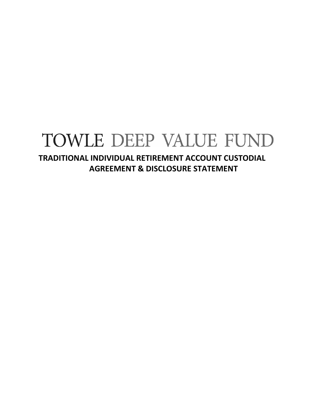# TOWLE DEEP VALUE FUND

**TRADITIONAL INDIVIDUAL RETIREMENT ACCOUNT CUSTODIAL AGREEMENT & DISCLOSURE STATEMENT**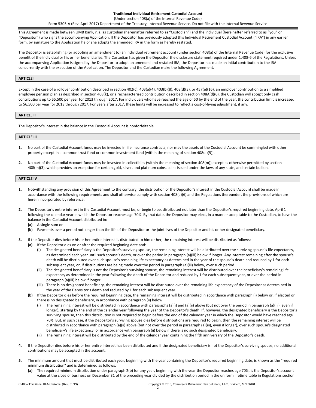**Traditional Individual Retirement Custodial Account**

(Under section 408(a) of the Internal Revenue Code) Form 5305-A (Rev. April 2017) Department of the Treasury, Internal Revenue Service. Do not file with the Internal Revenue Service

This Agreement is made between UMB Bank, n.a. as custodian (hereinafter referred to as "Custodian") and the individual (hereinafter referred to as "you" or "Depositor") who signs the accompanying Application. If the Depositor has previously adopted this Individual Retirement Custodial Account ("IRA") in any earlier form, by signature to the Application he or she adopts the amended IRA in the form as hereby restated.

The Depositor is establishing (or adopting an amendment to) an individual retirement account (under section 408(a) of the Internal Revenue Code) for the exclusive benefit of the individual or his or her beneficiaries. The Custodian has given the Depositor the disclosure statement required under 1.408-6 of the Regulations. Unless the accompanying Application is signed by the Depositor to adopt an amended and restated IRA, the Depositor has made an initial contribution to the IRA concurrently with the execution of the Application. The Depositor and the Custodian make the following Agreement.

#### **ARTICLE I**

Except in the case of a rollover contribution described in section 402(c), 403(a)(4), 403(b)(8), 408(d)(3), or 457(e)(16), an employer contribution to a simplified employee pension plan as described in section 408(k), or a recharacterized contribution described in section 408A(d)(6), the Custodian will accept only cash contributions up to \$5,500 per year for 2013 through 2017. For individuals who have reached the age of 50 by the end of the year, the contribution limit is increased to \$6,500 per year for 2013 through 2017. For years after 2017, these limits will be increased to reflect a cost-of-living adjustment, if any.

#### **ARTICLE II**

The Depositor's interest in the balance in the Custodial Account is nonforfeitable.

#### **ARTICLE III**

- **1.** No part of the Custodial Account funds may be invested in life insurance contracts, nor may the assets of the Custodial Account be commingled with other property except in a common trust fund or common investment fund (within the meaning of section 408(a)(5)).
- **2.** No part of the Custodial Account funds may be invested in collectibles (within the meaning of section 408(m)) except as otherwise permitted by section 408(m)(3), which provides an exception for certain gold, silver, and platinum coins, coins issued under the laws of any state, and certain bullion.

# **ARTICLE IV**

- **1.** Notwithstanding any provision of this Agreement to the contrary, the distribution of the Depositor's interest in the Custodial Account shall be made in accordance with the following requirements and shall otherwise comply with section 408(a)(6) and the Regulations thereunder, the provisions of which are herein incorporated by reference.
- **2.** The Depositor's entire interest in the Custodial Account must be, or begin to be, distributed not later than the Depositor's required beginning date, April 1 following the calendar year in which the Depositor reaches age 70½. By that date, the Depositor may elect, in a manner acceptable to the Custodian, to have the balance in the Custodial Account distributed in:
	- **(a)** A single sum or
	- **(b)** Payments over a period not longer than the life of the Depositor or the joint lives of the Depositor and his or her designated beneficiary.
- **3.** If the Depositor dies before his or her entire interest is distributed to him or her, the remaining interest will be distributed as follows:
	- **(a)** If the Depositor dies on or after the required beginning date and:
		- **(i)** The designated beneficiary is the Depositor's surviving spouse, the remaining interest will be distributed over the surviving spouse's life expectancy, as determined each year until such spouse's death, or over the period in paragraph (a)(iii) below if longer. Any interest remaining after the spouse's death will be distributed over such spouse's remaining life expectancy as determined in the year of the spouse's death and reduced by 1 for each subsequent year, or, if distributions are being made over the period in paragraph (a)(iii) below, over such period.
		- **(ii)** The designated beneficiary is not the Depositor's surviving spouse, the remaining interest will be distributed over the beneficiary's remaining life expectancy as determined in the year following the death of the Depositor and reduced by 1 for each subsequent year, or over the period in paragraph (a)(iii) below if longer.
		- **(iii)** There is no designated beneficiary, the remaining interest will be distributed over the remaining life expectancy of the Depositor as determined in the year of the Depositor's death and reduced by 1 for each subsequent year.
	- **(b)** If the Depositor dies before the required beginning date, the remaining interest will be distributed in accordance with paragraph (i) below or, if elected or there is no designated beneficiary, in accordance with paragraph (ii) below:
		- **(i)** The remaining interest will be distributed in accordance with paragraphs (a)(i) and (a)(ii) above (but not over the period in paragraph (a)(iii), even if longer), starting by the end of the calendar year following the year of the Depositor's death. If, however, the designated beneficiary is the Depositor's surviving spouse, then this distribution is not required to begin before the end of the calendar year in which the Depositor would have reached age 70½. But, in such case, if the Depositor's surviving spouse dies before distributions are required to begin, then the remaining interest will be distributed in accordance with paragraph (a)(ii) above (but not over the period in paragraph (a)(iii), even if longer), over such spouse's designated beneficiary's life expectancy, or in accordance with paragraph (ii) below if there is no such designated beneficiary.
		- **(ii)** The remaining interest will be distributed by the end of the calendar year containing the fifth anniversary of the Depositor's death.
- **4.** If the Depositor dies before his or her entire interest has been distributed and if the designated beneficiary is not the Depositor's surviving spouse, no additional contributions may be accepted in the account.
- **5.** The minimum amount that must be distributed each year, beginning with the year containing the Depositor's required beginning date, is known as the "required minimum distribution" and is determined as follows:
	- **(a)** The required minimum distribution under paragraph 2(b) for any year, beginning with the year the Depositor reaches age 70½, is the Depositor's account value at the close of business on December 31 of the preceding year divided by the distribution period in the uniform lifetime table in Regulations section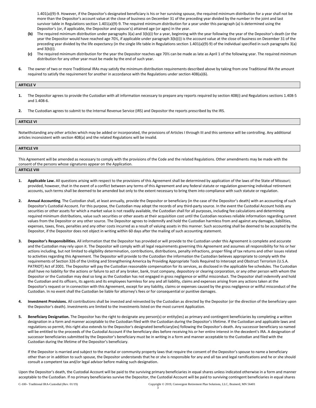1.401(a)(9)-9. However, if the Depositor's designated beneficiary is his or her surviving spouse, the required minimum distribution for a year shall not be more than the Depositor's account value at the close of business on December 31 of the preceding year divided by the number in the joint and last survivor table in Regulations section 1.401(a)(9)-9. The required minimum distribution for a year under this paragraph (a) is determined using the Depositor's (or, if applicable, the Depositor and spouse's) attained age (or ages) in the year.

- **(b)** The required minimum distribution under paragraphs 3(a) and 3(b)(i) for a year, beginning with the year following the year of the Depositor's death (or the year the Depositor would have reached age 70½, if applicable under paragraph 3(b)(i)) is the account value at the close of business on December 31 of the preceding year divided by the life expectancy (in the single life table in Regulations section 1.401(a)(9)-9) of the individual specified in such paragraphs 3(a) and 3(b)(i).
- **(c)** The required minimum distribution for the year the Depositor reaches age 70½ can be made as late as April 1 of the following year. The required minimum distribution for any other year must be made by the end of such year.
- **6.** The owner of two or more Traditional IRAs may satisfy the minimum distribution requirements described above by taking from one Traditional IRA the amount required to satisfy the requirement for another in accordance with the Regulations under section 408(a)(6).

# **ARTICLE V**

- **1.** The Depositor agrees to provide the Custodian with all information necessary to prepare any reports required by section 408(i) and Regulations sections 1.408-5 and 1.408-6.
- **2.** The Custodian agrees to submit to the Internal Revenue Service (IRS) and Depositor the reports prescribed by the IRS.

# **ARTICLE VI**

Notwithstanding any other articles which may be added or incorporated, the provisions of Articles I through III and this sentence will be controlling. Any additional articles inconsistent with section 408(a) and the related Regulations will be invalid.

# **ARTICLE VII**

This Agreement will be amended as necessary to comply with the provisions of the Code and the related Regulations. Other amendments may be made with the consent of the persons whose signatures appear on the Application.

# **ARTICLE VIII**

- **1. Applicable Law.** All questions arising with respect to the provisions of this Agreement shall be determined by application of the laws of the State of Missouri; provided, however, that in the event of a conflict between any terms of this Agreement and any federal statute or regulation governing individual retirement accounts, such terms shall be deemed to be amended but only to the extent necessary to bring them into compliance with such statute or regulation.
- 2. Annual Accounting. The Custodian shall, at least annually, provide the Depositor or beneficiary (in the case of the Depositor's death) with an accounting of such Depositor's Custodial Account. For this purpose, the Custodian may adopt the records of any third-party source. In the event the Custodial Account holds any securities or other assets for which a market value is not readily available, the Custodian shall for all purposes, including fee calculations and determining required minimum distributions, value such securities or other assets at their acquisition cost until the Custodian receives reliable information regarding current values from the Depositor or any other source. The Depositor agrees to indemnify and hold the Custodian harmless from and against any damages, liabilities, expenses, taxes, fines, penalties and any other costs incurred as a result of valuing assets in this manner. Such accounting shall be deemed to be accepted by the Depositor, if the Depositor does not object in writing within 60 days after the mailing of such accounting statement.
- **3. Depositor's Responsibilities.** All information that the Depositor has provided or will provide to the Custodian under this Agreement is complete and accurate and the Custodian may rely upon it. The Depositor will comply with all legal requirements governing this Agreement and assumes all responsibility for his or her actions including, but not limited to eligibility determination, contributions, distributions, penalty infractions, proper filing of tax returns and other issues related to activities regarding this Agreement. The Depositor will provide to the Custodian the information the Custodian believes appropriate to comply with the requirements of Section 326 of the Uniting and Strengthening America by Providing Appropriate Tools Required to Intercept and Obstruct Terrorism (U.S.A. PATRIOT) Act of 2001. The Depositor will pay the Custodian reasonable compensation for its services, as disclosed in the applicable fee schedules. The Custodian shall have no liability for the actions or failure to act of any broker, bank, trust company, depository or clearing corporation, or any other person with whom the Depositor or the Custodian may deal so long as the Custodian has not engaged in gross negligence or willful misconduct. The Depositor shall indemnify and hold the Custodian and its officers, its agents and its employees harmless for any and all liability, claims and expenses arising from any actions taken at the Depositor's request or in connection with this Agreement, except for any liability, claims or expenses caused by the gross negligence or willful misconduct of the Custodian. In no event shall the Custodian be liable for attorney's fees or for consequential or punitive damages.
- **4. Investment Provisions.** All contributions shall be invested and reinvested by the Custodian as directed by the Depositor (or the direction of the beneficiary upon the Depositor's death). Investments are limited to the investments listed on the most current Application.
- **5. Beneficiary Designation.** The Depositor has the right to designate any person(s) or entity(ies) as primary and contingent beneficiaries by completing a written designation in a form and manner acceptable to the Custodian filed with the Custodian during the Depositor's lifetime. If the Custodian and applicable laws and regulations so permit, this right also extends to the Depositor's designated beneficiary(ies) following the Depositor's death. Any successor beneficiary so named will be entitled to the proceeds of the Custodial Account if the beneficiary dies before receiving his or her entire interest in the decedent's IRA. A designation of successor beneficiaries submitted by the Depositor's beneficiary must be in writing in a form and manner acceptable to the Custodian and filed with the Custodian during the lifetime of the Depositor's beneficiary.

If the Depositor is married and subject to the marital or community property laws that require the consent of the Depositor's spouse to name a beneficiary other than or in addition to such spouse, the Depositor understands that he or she is responsible for any and all tax and legal ramifications and he or she should consult a competent tax and/or legal advisor before making such designation.

Upon the Depositor's death, the Custodial Account will be paid to the surviving primary beneficiaries in equal shares unless indicated otherwise in a form and manner acceptable to the Custodian. If no primary beneficiaries survive the Depositor, the Custodial Account will be paid to surviving contingent beneficiaries in equal shares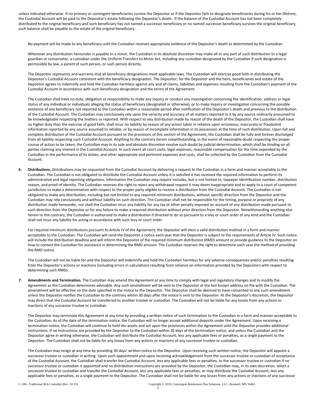unless indicated otherwise. If no primary or contingent beneficiaries survive the Depositor or if the Depositor fails to designate beneficiaries during his or her lifetime, the Custodial Account will be paid to the Depositor's estate following the Depositor's death. If the balance of the Custodial Account has not been completely distributed to the original beneficiary and such beneficiary has not named a successor beneficiary or no named successor beneficiary survives the original beneficiary, such balance shall be payable to the estate of the original beneficiary.

No payment will be made to any beneficiary until the Custodian receives appropriate evidence of the Depositor's death as determined by the Custodian.

Whenever any distribution hereunder is payable to a minor, the Custodian in its absolute discretion may make all or any part of such distribution to a legal guardian or conservator, a custodian under the Uniform Transfers to Minor Act, including any custodian designated by the Custodian if such designation is permissible by law, a parent of such person, or such person directly.

The Depositor represents and warrants that all beneficiary designations meet applicable laws. The Custodian will exercise good faith in distributing the Depositor's Custodial Account consistent with the beneficiary designation. The Depositor, for the Depositor and the heirs, beneficiaries and estate of the Depositor agrees to indemnify and hold the Custodian harmless against any and all claims, liabilities and expenses resulting from the Custodian's payment of the Custodial Account in accordance with such beneficiary designation and the terms of the Agreement.

The Custodian shall have no duty, obligation or responsibility to make any inquiry or conduct any investigation concerning the identification, address or legal status of any individual or individuals alleging the status of beneficiary (designated or otherwise), or to make inquiry or investigation concerning the possible existence of any beneficiary not reported to the Custodian within a reasonable period after notification of the Depositor's death and previous to the distribution of the Custodial Account. The Custodian may conclusively rely upon the veracity and accuracy of all matters reported to it by any source ordinarily presumed to be knowledgeable respecting the matters so reported. With respect to any distribution made by reason of the death of the Depositor, the Custodian shall have no higher duty than the exercise of good faith, shall incur no liability by reason of any action taken in reliance upon erroneous, inaccurate or fraudulent information reported by any source assumed to reliable, or by reason of incomplete information in its possession at the time of such distribution. Upon full and complete distribution of the Custodial Account pursuant to the provisions of this section of the Agreement, the Custodian shall be fully and forever discharged from all liability respecting such Custodial Account. Anything to the contrary herein notwithstanding, in the event of reasonable doubt respecting the proper course of action to be taken, the Custodian may in its sole and absolute discretion resolve such doubt by judicial determination, which shall be binding on all parties claiming any interest in the Custodial Account. In such event all court costs, legal expenses, reasonable compensation for the time expended by the Custodian in the performance of its duties, and other appropriate and pertinent expenses and costs, shall be collected by the Custodian from the Custodial Account.

**6. Distributions.** Distributions may be requested from the Custodial Account by delivering a request to the Custodian in a form and manner acceptable to the Custodian. The Custodian is not obligated to distribute the Custodial Account unless it is satisfied it has received the required information to perform its administrative and legal reporting obligations. Information the Custodian may require includes, but is not limited to, taxpayer identification number, distribution reason, and proof of identity. The Custodian reserves the right to reject any withdrawal request it may deem inappropriate and to apply to a court of competent jurisdiction to make a determination with respect to the proper party eligible to receive a distribution from the Custodial Account. The Custodian is not obligated to make any distribution, including but not limited to any required minimum distributions, without specific direction from the Depositor and the Custodian may rely conclusively and without liability on such direction. The Custodian shall not be responsible for the timing, purpose or propriety of any distribution made hereunder, nor shall the Custodian incur any liability for any tax or other penalty imposed on account of any distribution made pursuant to such direction from the Depositor or for any failure to make a required distribution without prior direction from the Depositor. Notwithstanding anything else herein to the contrary, the Custodian is authorized to make a distribution if directed to do so pursuant to a levy or court order of any kind and the Custodian shall not incur any liability for acting in accordance with such levy or court order.

For required minimum distributions pursuant to Article IV of the Agreement, the Depositor will elect a valid distribution method in a form and manner acceptable to the Custodian. The Custodian will send the Depositor a notice each year that the Depositor is subject to the requirements of Article IV. Such notice will include the distribution deadline and will inform the Depositor of the required minimum distribution (RMD) amount or provide guidance to the Depositor on how to contact the Custodian for assistance in determining the RMD amount. The Custodian reserves the right to determine each year the method of providing the RMD notice.

The Custodian will not be liable for and the Depositor will indemnify and hold the Custodian harmless for any adverse consequences and/or penalties resulting from the Depositor's actions or inactions (including errors in calculations resulting from reliance on information provided by the Depositor) with respect to determining such RMDs.

**7. Amendments and Termination.** The Custodian may amend this Agreement at any time to comply with legal and regulatory changes and to modify the Agreement as the Custodian determines advisable. Any such amendment will be sent to the Depositor at the last known address on file with the Custodian. The amendment will be effective on the date specified in the notice to the Depositor. The Depositor shall be deemed to have consented to any such amendment unless the Depositor notifies the Custodian to the contrary within 30 days after the notice is sent to the Depositor. At the Depositor's discretion, the Depositor may direct that the Custodial Account be transferred to another trustee or custodian. The Custodian will not be liable for any losses from any actions or inactions of any successor trustee or custodian.

The Depositor may terminate this Agreement at any time by providing a written notice of such termination to the Custodian in a form and manner acceptable to the Custodian. As of the date of the termination notice, the Custodian will no longer accept additional deposits under the Agreement. Upon receiving a termination notice, the Custodian will continue to hold the assets and act upon the provisions within the Agreement until the Depositor provides additional instructions. If no instructions are provided by the Depositor to the Custodian within 30 days of the termination notice, and unless the Custodian and the Depositor agree in writing otherwise, the Custodian will distribute the Custodial Account, less any applicable fees or penalties, as a single payment to the Depositor. The Custodian shall not be liable for any losses from any actions or inactions of any successor trustee or custodian.

The Custodian may resign at any time by providing 30 days' written notice to the Depositor. Upon receiving such written notice, the Depositor will appoint a successor trustee or custodian in writing. Upon such appointment and upon receiving acknowledgement from the successor trustee or custodian of acceptance of the Custodial Account, the Custodian shall transfer the Custodial Account, less any applicable fees or penalties, to the successor trustee or custodian If no successor trustee or custodian is appointed and no distribution instructions are provided by the Depositor, the Custodian may, in its own discretion, select a successor trustee or custodian and transfer the Custodial Account, less any applicable fees or penalties, or may distribute the Custodial Account, less any applicable fees or penalties, as a single payment to the Depositor. The Custodian shall not be liable for any losses from any actions or inactions of any successor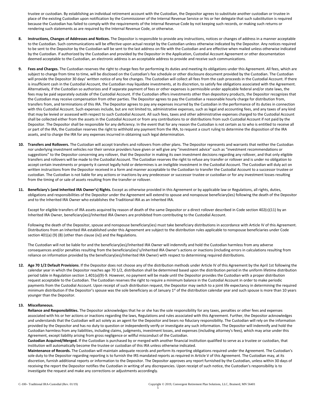trustee or custodian. By establishing an individual retirement account with the Custodian, the Depositor agrees to substitute another custodian or trustee in place of the existing Custodian upon notification by the Commissioner of the Internal Revenue Service or his or her delegate that such substitution is required because the Custodian has failed to comply with the requirements of the Internal Revenue Code by not keeping such records, or making such returns or rendering such statements as are required by the Internal Revenue Code, or otherwise.

- **8. Instructions, Changes of Addresses and Notices.** The Depositor is responsible to provide any instructions, notices or changes of address in a manner acceptable to the Custodian. Such communications will be effective upon actual receipt by the Custodian unless otherwise indicated by the Depositor. Any notices required to be sent to the Depositor by the Custodian will be sent to the last address on file with the Custodian and are effective when mailed unless otherwise indicated by the Custodian. If authorized by the Custodian and provided by the Depositor in the Application, Custodial Account Agreement or other documentation deemed acceptable to the Custodian, an electronic address is an acceptable address to provide and receive such communications.
- **9. Fees and Charges.** The Custodian reserves the right to charge fees for performing its duties and meeting its obligations under this Agreement. All fees, which are subject to change from time to time, will be disclosed on the Custodian's fee schedule or other disclosure document provided by the Custodian. The Custodian will provide the Depositor 30 days' written notice of any fee changes. The Custodian will collect all fees from the cash proceeds in the Custodial Account. If there is insufficient cash in the Custodial Account, the Custodian may liquidate investments, at its discretion, to satisfy fee obligations associated with the Agreement. Alternatively, if the Custodian so authorizes and if separate payment of fees or other expenses is permissible under applicable federal and/or state laws, the fees may be paid separately outside of the Custodial Account. If the Custodian offers investments other than depository products, the Depositor recognizes that the Custodian may receive compensation from other parties. The Depositor agrees to pay the Custodian a reasonable hourly charge for distribution from, transfers from, and terminations of this IRA. The Depositor agrees to pay any expenses incurred by the Custodian in the performance of its duties in connection with this Custodial Account. Such expenses include, but are not limited to, administrative expenses, such as legal and accounting fees, and any taxes of any kind that may be levied or assessed with respect to such Custodial Account. All such fees, taxes and other administrative expenses charged to the Custodial Account shall be collected either from the assets in the Custodial Account or from any contributions to or distributions from such Custodial Account if not paid by the Depositor. The Depositor shall be responsible for any deficiency. In the event that for any reason the Custodian is not certain as to who is entitled to receive all or part of the IRA, the Custodian reserves the right to withhold any payment from the IRA, to request a court ruling to determine the disposition of the IRA assets, and to charge the IRA for any expenses incurred in obtaining such legal determination.
- **10. Transfers and Rollovers.** The Custodian will accept transfers and rollovers from other plans. The Depositor represents and warrants that neither the Custodian nor underlying investment vehicles nor their service providers have given or will give any "investment advice" such as "investment recommendations or suggestions" to the Depositor concerning any rollover, that the Depositor in making its own investment decisions regarding any rollover, and that only eligible transfers and rollovers will be made to the Custodial Account. The Custodian reserves the right to refuse any transfer or rollover and is under no obligation to accept certain investments or property it cannot legally hold or determines is an ineligible investment in the Custodial Account. The Custodian will duly act on written instructions from the Depositor received in a form and manner acceptable to the Custodian to transfer the Custodial Account to a successor trustee or custodian. The Custodian is not liable for any actions or inactions by any predecessor or successor trustee or custodian or for any investment losses resulting from the timing of or sale of assets resulting from the transfer or rollover.
- 11. Beneficiary's (and Inherited IRA Owner's) Rights. Except as otherwise provided in this Agreement or by applicable law or Regulations, all rights, duties, obligations and responsibilities of the Depositor under the Agreement will extend to spouse and nonspouse beneficiary(ies) following the death of the Depositor and to the Inherited IRA Owner who establishes the Traditional IRA as an Inherited IRA.

Except for eligible transfers of IRA assets acquired by reason of death of the same Depositor or a direct rollover described in Code section 402(c)(11) by an Inherited IRA Owner, beneficiary(ies)/Inherited IRA Owners are prohibited from contributing to the Custodial Account.

Following the death of the Depositor, spouse and nonspouse beneficiary(ies) must take beneficiary distributions in accordance with Article IV of this Agreement. Distributions from an Inherited IRA established under this Agreement are subject to the distribution rules applicable to nonspouse beneficiaries under Code section 401(a) (9) (B) (other than clause (iv)) and the Regulations.

The Custodian will not be liable for and the beneficiary(ies)/Inherited IRA Owner will indemnify and hold the Custodian harmless from any adverse consequences and/or penalties resulting from the beneficiary(ies)'s/Inherited IRA Owner's actions or inactions (including errors in calculations resulting from reliance on information provided by the beneficiary(ies)/Inherited IRA Owner) with respect to determining required distributions.

**12. Age 70 1/2 Default Provisions**. If the Depositor does not choose any of the distribution methods under Article IV of this Agreement by the April 1st following the calendar year in which the Depositor reaches age 70 1/2, distribution shall be determined based upon the distribution period in the uniform lifetime distribution period table in Regulation section 1.401(a)(9)-9. However, no payment will be made until the Depositor provides the Custodian with a proper distribution request acceptable to the Custodian. The Custodian reserves the right to require a minimum balance in the Custodial Account in order to make periodic payments from the Custodial Account. Upon receipt of such distribution request, the Depositor may switch to a joint life expectancy in determining the required minimum distribution if the Depositor's spouse was the sole beneficiary as of January  $1<sup>st</sup>$  of the distribution calendar year and such spouse is more than 10 years younger than the Depositor.

# **13. Miscellaneous.**

**Reliance and Responsibilities.** The Depositor acknowledges that he or she has the sole responsibility for any taxes, penalties or other fees and expenses associated with his or her actions or inactions regarding the laws, Regulations and rules associated with this Agreement. Further, the Depositor acknowledges and understands that the Custodian will act solely as an agent for the Depositor and bears no fiduciary responsibility. The Custodian will rely on the information provided by the Depositor and has no duty to question or independently verify or investigate any such information. The Depositor will indemnify and hold the Custodian harmless from any liabilities, including claims, judgments, investment losses, and expenses (including attorney's fees), which may arise under this Agreement, except liability arising from gross negligence or willful misconduct of the Custodian.

**Custodian Acquired/Merged.** If the Custodian is purchased by or merged with another financial institution qualified to serve as a trustee or custodian, that institution will automatically become the trustee or custodian of this IRA unless otherwise indicated.

**Maintenance of Records.** The Custodian will maintain adequate records and perform its reporting obligations required under the Agreement. The Custodian's sole duty to the Depositor regarding reporting is to furnish the IRS mandated reports as required in Article V of this Agreement. The Custodian may, at its discretion, furnish additional reports or information to the Depositor. The Depositor approves any report furnished by the Custodian, unless within 30 days of receiving the report the Depositor notifies the Custodian in writing of any discrepancies. Upon receipt of such notice, the Custodian's responsibility is to investigate the request and make any corrections or adjustments accordingly.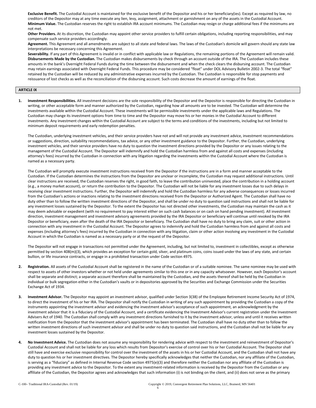**Exclusive Benefit.** The Custodial Account is maintained for the exclusive benefit of the Depositor and his or her beneficiary(ies). Except as required by law, no creditors of the Depositor may at any time execute any lien, levy, assignment, attachment or garnishment on any of the assets in the Custodial Account. **Minimum Value.** The Custodian reserves the right to establish IRA account minimums. The Custodian may resign or charge additional fees if the minimums are not met.

**Other Providers.** At its discretion, the Custodian may appoint other service providers to fulfill certain obligations, including reporting responsibilities, and may compensate such service providers accordingly.

**Agreement.** This Agreement and all amendments are subject to all state and federal laws. The laws of the Custodian's domicile will govern should any state law interpretations be necessary concerning this Agreement.

Severability. If any part of this Agreement is invalid or in conflict with applicable law or Regulations, the remaining portions of the Agreement will remain valid. **Disbursements Made by the Custodian.** The Custodian makes disbursements by check through an account outside of the IRA. The Custodian includes these amounts in the bank's Overnight Federal Funds during the time between the disbursement and when the check clears the disbursing account. The Custodian may retain earnings associated with Overnight Federal Funds. This procedure may be considered "float" under DOL Advisory Bulletin 2002-3. The total "float" retained by the Custodian will be reduced by any administrative expenses incurred by the Custodian. The Custodian is responsible for stop payments and reissuance of lost checks as well as the reconciliation of the disbursing account. Such costs decrease the amount of earnings of the float.

# **ARTICLE IX**

**1. Investment Responsibilities.** All investment decisions are the sole responsibility of the Depositor and the Depositor is responsible for directing the Custodian in writing, or other acceptable form and manner authorized by the Custodian, regarding how all amounts are to be invested. The Custodian will determine the investments available within the Custodial Account. These investments will be permissible investments under the applicable laws and Regulations. The Custodian may change its investment options from time to time and the Depositor may move his or her monies in the Custodial Account to different investments. Any investment changes within the Custodial Account are subject to the terms and conditions of the investments, including but not limited to minimum deposit requirements and early redemption penalties.

The Custodian, underlying investment vehicles, and their service providers have not and will not provide any investment advice, investment recommendations or suggestions, direction, suitability recommendations, tax advice, or any other investment guidance to the Depositor. Further, the Custodian, underlying investment vehicles, and their service providers have no duty to question the investment directions provided by the Depositor or any issues relating to the management of the Custodial Account. The Depositor will indemnify and hold the Custodian harmless from and against all costs and expenses (including attorney's fees) incurred by the Custodian in connection with any litigation regarding the investments within the Custodial Account where the Custodian is named as a necessary party.

The Custodian will promptly execute investment instructions received from the Depositor if the instructions are in a form and manner acceptable to the Custodian. If the Custodian determines the instructions from the Depositor are unclear or incomplete, the Custodian may request additional instructions. Until clear instructions are received, the Custodian reserves the right, in good faith, to leave the contribution uninvested, place the contribution in a holding account (e.g., a money market account), or return the contribution to the Depositor. The Custodian will not be liable for any investment losses due to such delays in receiving clear investment instructions. Further, the Depositor will indemnify and hold the Custodian harmless for any adverse consequences or losses incurred from the Custodian's actions or inactions relating to the investment directions received from the Depositor or Authorized Agent. The Custodian shall have no duty other than to follow the written investment directions of the Depositor, and shall be under no duty to question said instructions and shall not be liable for any investment losses sustained by the Depositor. To the extent the Depositor has not directed other investments, the Custodian may maintain the cash as it may deem advisable or expedient (with no requirement to pay interest either on such cash balances or on cash on hand pending investment). All investment direction, investment management and investment advisory agreements provided by the IRA Depositor or beneficiary will continue until revoked by the IRA Depositor or beneficiary, even after the death of the IRA Depositor or beneficiary. The Custodian shall have no duty to bring any claim, suit or other action in connection with any investment in the Custodial Account. The Depositor agrees to indemnify and hold the Custodian harmless from and against all costs and expenses (including attorney's fees) incurred by the Custodian in connection with any litigation, claim or other action involving any investment in the Custodial Account in which the Custodian is named as a necessary party or at the request of the Depositor.

The Depositor will not engage in transactions not permitted under the Agreement, including, but not limited to, investment in collectibles, except as otherwise permitted by section 408(m)(3), which provides an exception for certain gold, silver, and platinum coins, coins issued under the laws of any state, and certain bullion, or life insurance contracts, or engage in a prohibited transaction under Code section 4975.

- **2. Registration.** All assets of the Custodial Account shall be registered in the name of the Custodian or of a suitable nominee. The same nominee may be used with respect to assets of other investors whether or not held under agreements similar to this one or in any capacity whatsoever. However, each Depositor's account shall be separate and distinct; a separate account therefore shall be maintained by the Custodian, and the assets thereof shall be held by the Custodian in individual or bulk segregation either in the Custodian's vaults or in depositories approved by the Securities and Exchange Commission under the Securities Exchange Act of 1934.
- **3. Investment Advisor.** The Depositor may appoint an investment advisor, qualified under Section 3(38) of the Employee Retirement Income Security Act of 1974, to direct the investment of his or her IRA. The Depositor shall notify the Custodian in writing of any such appointment by providing the Custodian a copy of the instruments appointing the investment advisor and evidencing the investment advisor's acceptance of such appointment, an acknowledgment by the investment advisor that it is a fiduciary of the Custodial Account, and a certificate evidencing the Investment Advisor's current registration under the Investment Advisers Act of 1940. The Custodian shall comply with any investment directions furnished to it by the investment advisor, unless and until it receives written notification from the Depositor that the investment advisor's appointment has been terminated. The Custodian shall have no duty other than to follow the written investment directions of such investment advisor and shall be under no duty to question said instructions, and the Custodian shall not be liable for any investment losses sustained by the Depositor.
- **4. No Investment Advice.** The Custodian does not assume any responsibility for rendering advice with respect to the investment and reinvestment of Depositor's Custodial Account and shall not be liable for any loss which results from Depositor's exercise of control over his or her Custodial Account. The Depositor shall still have and exercise exclusive responsibility for control over the investment of the assets in his or her Custodial Account, and the Custodian shall not have any duty to question his or her investment directives. The Depositor hereby specifically acknowledges that neither the Custodian, nor any affiliate of the Custodian, is serving as a "fiduciary" as defined in Internal Revenue Code section 4975(e)(3) and therefore neither the Custodian nor any affiliate of the Custodian is providing any investment advice to the Depositor. To the extent any investment-related information is received by the Depositor from the Custodian or any affiliate of the Custodian, the Depositor agrees and acknowledges that such information (i) is not binding on the client, and (ii) does not serve as the primary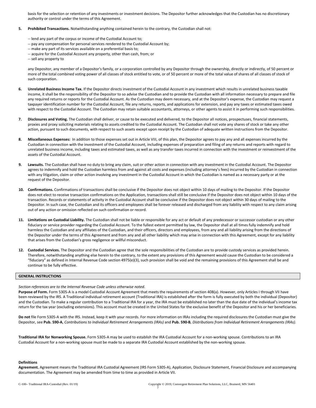basis for the selection or retention of any investments or investment decisions. The Depositor further acknowledges that the Custodian has no discretionary authority or control under the terms of this Agreement.

# **5. Prohibited Transactions.** Notwithstanding anything contained herein to the contrary, the Custodian shall not:

- -- lend any part of the corpus or income of the Custodial Account to;
- -- pay any compensation for personal services rendered to the Custodial Account by;
- -- make any part of its services available on a preferential basis to;
- -- acquire for the Custodial Account any property, other than cash, from; or
- -- sell any property to

any Depositor, any member of a Depositor's family, or a corporation controlled by any Depositor through the ownership, directly or indirectly, of 50 percent or more of the total combined voting power of all classes of stock entitled to vote, or of 50 percent or more of the total value of shares of all classes of stock of such corporation.

- **6. Unrelated Business Income Tax.** If the Depositor directs investment of the Custodial Account in any investment which results in unrelated business taxable income, it shall be the responsibility of the Depositor to so advise the Custodian and to provide the Custodian with all information necessary to prepare and file any required returns or reports for the Custodial Account. As the Custodian may deem necessary, and at the Depositor's expense, the Custodian may request a taxpayer identification number for the Custodial Account, file any returns, reports, and applications for extension, and pay any taxes or estimated taxes owed with respect to the Custodial Account. The Custodian may retain suitable accountants, attorneys, or other agents to assist it in performing such responsibilities.
- **7. Disclosures and Voting.** The Custodian shall deliver, or cause to be executed and delivered, to the Depositor all notices, prospectuses, financial statements, proxies and proxy soliciting materials relating to assets credited to the Custodial Account. The Custodian shall not vote any shares of stock or take any other action, pursuant to such documents, with respect to such assets except upon receipt by the Custodian of adequate written instructions from the Depositor.
- **8. Miscellaneous Expenses:** In addition to those expenses set out in Article VIII, of this plan, the Depositor agrees to pay any and all expenses incurred by the Custodian in connection with the investment of the Custodial Account, including expenses of preparation and filing of any returns and reports with regard to unrelated business income, including taxes and estimated taxes, as well as any transfer taxes incurred in connection with the investment or reinvestment of the assets of the Custodial Account.
- **9. Lawsuits.** The Custodian shall have no duty to bring any claim, suit or other action in connection with any investment in the Custodial Account. The Depositor agrees to indemnify and hold the Custodian harmless from and against all costs and expenses (including attorney's fees) incurred by the Custodian in connection with any litigation, claim or other action involving any investment in the Custodial Account in which the Custodian is named as a necessary party or at the request of the Depositor.
- **10. Confirmations.** Confirmations of transactions shall be conclusive if the Depositor does not object within 10 days of mailing to the Depositor. If the Depositor does not elect to receive transaction confirmations on the Application, transactions shall still be conclusive if the Depositor does not object within 10 days of the transaction. Records or statements of activity in the Custodial Account shall be conclusive if the Depositor does not object within 30 days of mailing to the Depositor. In such case, the Custodian and its officers and employees shall be forever released and discharged from any liability with respect to any claim arising out of any action or omission reflected on such confirmation or record.
- **11. Limitations on Custodial Liability.** The Custodian shall not be liable or responsible for any act or default of any predecessor or successor custodian or any other fiduciary or service provider regarding the Custodial Account. To the fullest extent permitted by law, the Depositor shall at all times fully indemnify and hold harmless the Custodian and any affiliates of the Custodian, and their officers, directors and employees, from any and all liability arising from the directions of the Depositor under the terms of this Agreement and from any and all other liability which may arise in connection with this Agreement, except for any liability that arises from the Custodian's gross negligence or willful misconduct.
- **12. Custodial Services.** The Depositor and the Custodian agree that the sole responsibilities of the Custodian are to provide custody services as provided herein. Therefore, notwithstanding anything else herein to the contrary, to the extent any provisions of this Agreement would cause the Custodian to be considered a "fiduciary" as defined in Internal Revenue Code section 4975(e)(3), such provision shall be void and the remaining provisions of this Agreement shall be and continue to be fully effective.

#### **GENERAL INSTRUCTIONS**

#### *Section references are to the Internal Revenue Code unless otherwise noted.*

Purpose of Form. Form 5305-A is a model Custodial Account Agreement that meets the requirements of section 408(a). However, only Articles I through VII have been reviewed by the IRS. A Traditional individual retirement account (Traditional IRA) is established after the form is fully executed by both the individual (Depositor) and the Custodian. To make a regular contribution to a Traditional IRA for a year, the IRA must be established no later than the due date of the individual's income tax return for the tax year (excluding extensions). This account must be created in the United States for the exclusive benefit of the Depositor and his or her beneficiaries.

**Do not** file Form 5305-A with the IRS. Instead, keep it with your records. For more information on IRAs including the required disclosures the Custodian must give the Depositor, see **Pub. 590-A**, *Contributions to Individual Retirement Arrangements (IRAs)* and **Pub. 590-B***, Distributions from Individual Retirement Arrangements (IRAs).*

**Traditional IRA for Nonworking Spouse.** Form 5305-A may be used to establish the IRA Custodial Account for a non-working spouse. Contributions to an IRA Custodial Account for a non-working spouse must be made to a separate IRA Custodial Account established by the non-working spouse.

# **Definitions**

**Agreement.** Agreement means the Traditional IRA Custodial Agreement (IRS Form 5305-A), Application, Disclosure Statement, Financial Disclosure and accompanying documentation. The Agreement may be amended from time to time as provided in Article VII.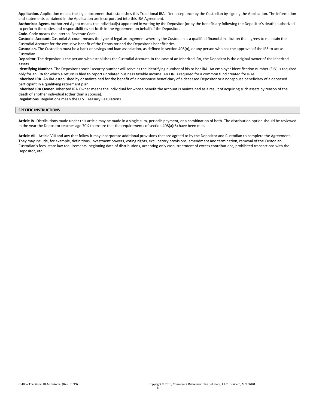**Application.** Application means the legal document that establishes this Traditional IRA after acceptance by the Custodian by signing the Application. The information and statements contained in the Application are incorporated into this IRA Agreement.

**Authorized Agent.** Authorized Agent means the individual(s) appointed in writing by the Depositor (or by the beneficiary following the Depositor's death) authorized to perform the duties and responsibilities set forth in the Agreement on behalf of the Depositor.

**Code.** Code means the Internal Revenue Code.

**Custodial Account.** Custodial Account means the type of legal arrangement whereby the Custodian is a qualified financial institution that agrees to maintain the Custodial Account for the exclusive benefit of the Depositor and the Depositor's beneficiaries.

**Custodian.** The Custodian must be a bank or savings and loan association, as defined in section 408(n), or any person who has the approval of the IRS to act as Custodian.

**Depositor.** The depositor is the person who establishes the Custodial Account. In the case of an Inherited IRA, the Depositor is the original owner of the inherited assets.

**Identifying Number.** The Depositor's social security number will serve as the identifying number of his or her IRA. An employer identification number (EIN) is required only for an IRA for which a return is filed to report unrelated business taxable income. An EIN is required for a common fund created for IRAs.

**Inherited IRA.** An IRA established by or maintained for the benefit of a nonspouse beneficiary of a deceased Depositor or a nonspouse beneficiary of a deceased participant in a qualifying retirement plan.

**Inherited IRA Owner.** Inherited IRA Owner means the individual for whose benefit the account is maintained as a result of acquiring such assets by reason of the death of another individual (other than a spouse).

**Regulations.** Regulations mean the U.S. Treasury Regulations.

# **SPECIFIC INSTRUCTIONS**

**Article IV.** Distributions made under this article may be made in a single sum, periodic payment, or a combination of both. The distribution option should be reviewed in the year the Depositor reaches age 70½ to ensure that the requirements of section 408(a)(6) have been met.

**Article VIII.** Article VIII and any that follow it may incorporate additional provisions that are agreed to by the Depositor and Custodian to complete the Agreement. They may include, for example, definitions, investment powers, voting rights, exculpatory provisions, amendment and termination, removal of the Custodian, Custodian's fees, state law requirements, beginning date of distributions, accepting only cash, treatment of excess contributions, prohibited transactions with the Depositor, etc.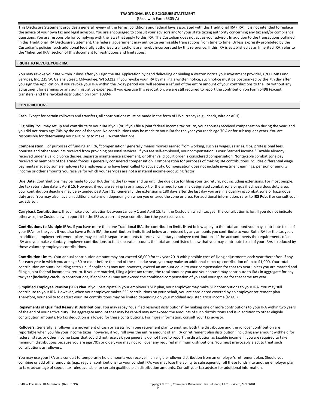This Disclosure Statement provides a general review of the terms, conditions and federal laws associated with this Traditional IRA (IRA). It is not intended to replace the advice of your own tax and legal advisors. You are encouraged to consult your advisors and/or your state taxing authority concerning any tax and/or compliance questions. You are responsible for complying with the laws that apply to this IRA. The Custodian does not act as your advisor. In addition to the transactions outlined in this Traditional IRA Disclosure Statement, the federal government may authorize permissible transactions from time to time. Unless expressly prohibited by the Custodian's policies, such additional federally authorized transactions are hereby incorporated by this reference. If this IRA is established as an Inherited IRA, refer to the "Inherited IRA" section of this document for restrictions and limitations.

# **RIGHT TO REVOKE YOUR IRA**

You may revoke your IRA within 7 days after you sign the IRA Application by hand delivering or mailing a written notice your investment provider, C/O UMB Fund Services, Inc. 235 W. Galena Street, Milwaukee, WI 53212. If you revoke your IRA by mailing a written notice, such notice must be postmarked by the 7th day after you sign the Application. If you revoke your IRA within the 7-day period you will receive a refund of the entire amount of your contributions to the IRA without any adjustment for earnings or any administrative expenses. If you exercise this revocation, we are still required to report the contribution on Form 5498 (except transfers) and the revoked distribution on Form 1099-R.

# **CONTRIBUTIONS**

**Cash.** Except for certain rollovers and transfers, all contributions must be made in the form of US currency (e.g., check, wire or ACH).

**Eligibility.** You may set up and contribute to your IRA if you (or, if you file a joint federal income tax return, your spouse) received compensation during the year, and you did not reach age 70½ by the end of the year. No contributions may be made to your IRA for the year you reach age 70½ or for subsequent years. You are responsible for determining your eligibility to make IRA contributions.

**Compensation.** For purposes of funding an IRA, "compensation" generally means monies earned from working, such as wages, salaries, tips, professional fees, bonuses and other amounts received from providing personal services. If you are self-employed, your compensation is your "earned income." Taxable alimony received under a valid divorce decree, separate maintenance agreement, or other valid court order is considered compensation. Nontaxable combat zone pay received by members of the armed forces is generally considered compensation. Compensation for purposes of making IRA contributions includes differential wage payments made by some employers to employees who have been called to active duty. Compensation does not include investment earnings, pension or annuity income or other amounts you receive for which your services are not a material income-producing factor.

**Due Date.** Contributions may be made to your IRA during the tax year and up until the due date for filing your tax return, not including extensions. For most people, the tax return due date is April 15. However, if you are serving in or in support of the armed forces in a designated combat zone or qualified hazardous duty area, your contribution deadline may be extended past April 15. Generally, the extension is 180 days after the last day you are in a qualifying combat zone or hazardous duty area. You may also have an additional extension depending on when you entered the zone or area. For additional information, refer to **IRS Pub. 3** or consult your tax advisor.

**Carryback Contributions.** If you make a contribution between January 1 and April 15, tell the Custodian which tax year the contribution is for. If you do not indicate otherwise, the Custodian will report it to the IRS as a current year contribution (the year received).

**Contributions to Multiple IRAs.** If you have more than one Traditional IRA, the contribution limits listed below apply to the total amount you may contribute to all of your IRAs for the year. If you also have a Roth IRA, the contribution limits listed below are reduced by any amounts you contribute to your Roth IRA for the tax year. In addition, employer retirement plans may establish separate accounts to receive voluntary employee contributions. If the account meets the requirements of an IRA and you make voluntary employee contributions to that separate account, the total amount listed below that you may contribute to all of your IRAs is reduced by those voluntary employee contributions.

**Contribution Limits.** Your annual contribution amount may not exceed \$6,000 for tax year 2019 with possible cost-of-living adjustments each year thereafter, if any. For each year in which you are age 50 or older before the end of the calendar year, you may make an additional catch-up contribution of up to \$1,000. Your total contribution amount (including catch-up, if applicable) may not, however, exceed an amount equal to your compensation for that tax year unless you are married and filing a joint federal income tax return. If you are married, filing a joint tax return, the total amount you and your spouse may contribute to IRAs in aggregate for any tax year (including catch-up contributions, if applicable) may not exceed the combined compensation of you and your spouse for that same tax year.

**Simplified Employee Pension (SEP) Plan.** If you participate in your employer's SEP plan, your employer may make SEP contributions to your IRA. You may still contribute to your IRA. However, when your employer makes SEP contributions on your behalf, you are considered covered by an employer retirement plan. Therefore, your ability to deduct your IRA contributions may be limited depending on your modified adjusted gross income (MAGI).

**Repayments of Qualified Reservist Distributions.** You may repay "qualified reservist distributions" by making one or more contributions to your IRA within two years of the end of your active duty. The aggregate amount that may be repaid may not exceed the amounts of such distributions and is in addition to other eligible contribution amounts. No tax deduction is allowed for these contributions. For more information, consult your tax advisor.

**Rollovers.** Generally, a rollover is a movement of cash or assets from one retirement plan to another. Both the distribution and the rollover contribution are reportable when you file your income taxes, however, if you roll over the entire amount of an IRA or retirement plan distribution (including any amount withheld for federal, state, or other income taxes that you did not receive), you generally do not have to report the distribution as taxable income. If you are required to take minimum distributions because you are age 70½ or older, you may not roll over any required minimum distributions. You must irrevocably elect to treat such contributions as rollovers.

You may use your IRA as a conduit to temporarily hold amounts you receive in an eligible rollover distribution from an employer's retirement plan. Should you combine or add other amounts (e.g., regular contributions) to your conduit IRA, you may lose the ability to subsequently roll these funds into another employer plan to take advantage of special tax rules available for certain qualified plan distribution amounts. Consult your tax advisor for additional information.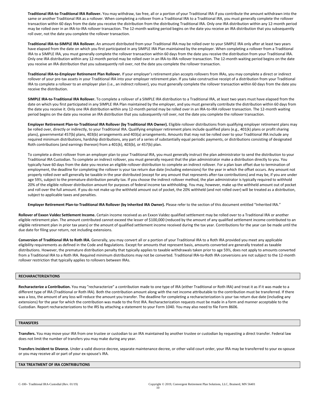**Traditional IRA-to-Traditional IRA Rollover.** You may withdraw, tax free, all or a portion of your Traditional IRA if you contribute the amount withdrawn into the same or another Traditional IRA as a rollover. When completing a rollover from a Traditional IRA to a Traditional IRA, you must generally complete the rollover transaction within 60 days from the date you receive the distribution from the distributing Traditional IRA. Only one IRA distribution within any 12-month period may be rolled over in an IRA-to-IRA rollover transaction. The 12-month waiting period begins on the date you receive an IRA distribution that you subsequently roll over, not the date you complete the rollover transaction.

**Traditional IRA-to-SIMPLE IRA Rollover.** An amount distributed from your Traditional IRA may be rolled over to your SIMPLE IRA only after at least two years have elapsed from the date on which you first participated in any SIMPLE IRA Plan maintained by the employer. When completing a rollover from a Traditional IRA to a SIMPLE IRA, you must generally complete the rollover transaction within 60 days from the date you receive the distribution from your Traditional IRA. Only one IRA distribution within any 12-month period may be rolled over in an IRA-to-IRA rollover transaction. The 12-month waiting period begins on the date you receive an IRA distribution that you subsequently roll over, not the date you complete the rollover transaction.

**Traditional IRA-to-Employer Retirement Plan Rollover.** If your employer's retirement plan accepts rollovers from IRAs, you may complete a direct or indirect rollover of your pre-tax assets in your Traditional IRA into your employer retirement plan. If you take constructive receipt of a distribution from your Traditional IRA to complete a rollover to an employer plan (i.e., an indirect rollover), you must generally complete the rollover transaction within 60 days from the date you receive the distribution.

**SIMPLE IRA-to-Traditional IRA Rollover.** To complete a rollover of a SIMPLE IRA distribution to a Traditional IRA, at least two years must have elapsed from the date on which you first participated in any SIMPLE IRA Plan maintained by the employer, and you must generally contribute the distribution within 60 days from the date you receive it. Only one IRA distribution within any 12-month period may be rolled over in an IRA-to-IRA rollover transaction. The 12-month waiting period begins on the date you receive an IRA distribution that you subsequently roll over, not the date you complete the rollover transaction.

Employer Retirement Plan-to-Traditional IRA Rollover (by Traditional IRA Owner). Eligible rollover distributions from qualifying employer retirement plans may be rolled over, directly or indirectly, to your Traditional IRA. Qualifying employer retirement plans include qualified plans (e.g., 401(k) plans or profit sharing plans), governmental 457(b) plans, 403(b) arrangements and 403(a) arrangements. Amounts that may not be rolled over to your Traditional IRA include any required minimum distributions, hardship distributions, any part of a series of substantially equal periodic payments, or distributions consisting of designated Roth contributions (and earnings thereon) from a 401(k), 403(b), or 457(b) plan.

To complete a direct rollover from an employer plan to your Traditional IRA, you must generally instruct the plan administrator to send the distribution to your Traditional IRA Custodian. To complete an indirect rollover, you must generally request that the plan administrator make a distribution directly to you. You typically have 60 days from the date you receive an eligible rollover distribution to complete an indirect rollover. For a plan loan offset due to termination of employment, the deadline for completing the rollover is your tax return due date (including extensions) for the year in which the offset occurs. Any amount not properly rolled over will generally be taxable in the year distributed (except for any amount that represents after-tax contributions) and may be, if you are under age 59%, subject to the premature distribution penalty tax. If you choose the indirect rollover method, the plan administrator is typically required to withhold 20% of the eligible rollover distribution amount for purposes of federal income tax withholding. You may, however, make up the withheld amount out of pocket and roll over the full amount. If you do not make up the withheld amount out of pocket, the 20% withheld (and not rolled over) will be treated as a distribution, subject to applicable taxes and penalties.

**Employer Retirement Plan-to-Traditional IRA Rollover (by Inherited IRA Owner).** Please refer to the section of this document entitled "Inherited IRA."

**Rollover of Exxon Valdez Settlement Income.** Certain income received as an Exxon Valdez qualified settlement may be rolled over to a Traditional IRA or another eligible retirement plan. The amount contributed cannot exceed the lesser of \$100,000 (reduced by the amount of any qualified settlement income contributed to an eligible retirement plan in prior tax years) or the amount of qualified settlement income received during the tax year. Contributions for the year can be made until the due date for filing your return, not including extensions.

**Conversion of Traditional IRA to Roth IRA.** Generally, you may convert all or a portion of your Traditional IRA to a Roth IRA provided you meet any applicable eligibility requirements as defined in the Code and Regulations. Except for amounts that represent basis, amounts converted are generally treated as taxable distributions. However, the premature distribution penalty that typically applies to taxable withdrawals taken prior to age 59½, does not apply to amounts converted from a Traditional IRA to a Roth IRA. Required minimum distributions may not be converted. Traditional IRA-to-Roth IRA conversions are not subject to the 12-month rollover restriction that typically applies to rollovers between IRAs.

# **RECHARACTERIZATIONS**

**Recharacterize a Contribution.** You may "recharacterize" a contribution made to one type of IRA (either Traditional or Roth IRA) and treat it as if it was made to a different type of IRA (Traditional or Roth IRA). Both the contribution amount along with the net income attributable to the contribution must be transferred. If there was a loss, the amount of any loss will reduce the amount you transfer. The deadline for completing a recharacterization is your tax return due date (including any extensions) for the year for which the contribution was made to the first IRA. Recharacterization requests must be made in a form and manner acceptable to the Custodian. Report recharacterizations to the IRS by attaching a statement to your Form 1040. You may also need to file Form 8606.

# **TRANSFERS**

**Transfers.** You may move your IRA from one trustee or custodian to an IRA maintained by another trustee or custodian by requesting a direct transfer. Federal law does not limit the number of transfers you may make during any year.

**Transfers Incident to Divorce.** Under a valid divorce decree, separate maintenance decree, or other valid court order, your IRA may be transferred to your ex-spouse or you may receive all or part of your ex-spouse's IRA.

# **TAX TREATMENT OF IRA CONTRIBUTIONS**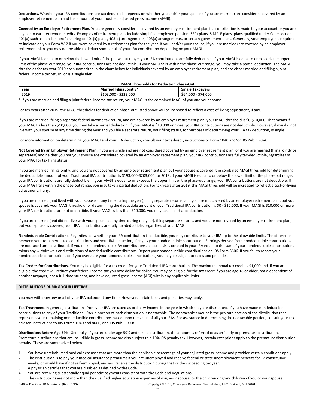**Deductions.** Whether your IRA contributions are tax deductible depends on whether you and/or your spouse (if you are married) are considered covered by an employer retirement plan and the amount of your modified adjusted gross income (MAGI).

**Covered by an Employer Retirement Plan.** You are generally considered covered by an employer retirement plan if a contribution is made to your account or you are eligible to earn retirement credits. Examples of retirement plans include simplified employee pension (SEP) plans, SIMPLE plans, plans qualified under Code section 401(a) such as pension, profit sharing or 401(k) plans, 403(b) arrangements, 403(a) arrangements, or certain government plans. Generally, your employer is required to indicate on your Form W-2 if you were covered by a retirement plan for the year. If you (and/or your spouse, if you are married) are covered by an employer retirement plan, you may not be able to deduct some or all of your IRA contribution depending on your MAGI.

If your MAGI is equal to or below the lower limit of the phase-out range, your IRA contributions are fully deductible. If your MAGI is equal to or exceeds the upper limit of the phase-out range, your IRA contributions are not deductible. If your MAGI falls within the phase-out range, you may take a partial deduction. The MAGI thresholds for tax year 2019 are summarized in the chart below for individuals covered by an employer retirement plan, and are either married and filing a joint federal income tax return, or is a single filer.

# **MAGI Thresholds for Deduction Phase-Out**

| Year                                                                                                                      | <b>Married Filing Jointly*</b> | <b>Single Taxpayers</b> |
|---------------------------------------------------------------------------------------------------------------------------|--------------------------------|-------------------------|
| 2019                                                                                                                      | \$103,000 - \$123,000          | \$64.000 - \$74.000     |
| * If you are married and filing a joint federal income tax return, your MAGI is the combined MAGI of you and your spouse. |                                |                         |

For tax years after 2019, the MAGI thresholds for deduction phase-out listed above will be increased to reflect a cost-of-living adjustment, if any.

If you are married, filing a separate federal income tax return, and are covered by an employer retirement plan, your MAGI threshold is \$0-\$10,000. That means if your MAGI is less than \$10,000, you may take a partial deduction. If your MAGI is \$10,000 or more, your IRA contributions are not deductible. However, if you did not live with your spouse at any time during the year and you file a separate return, your filing status, for purposes of determining your IRA tax deduction, is single.

For more information on determining your MAGI and your IRA deduction, consult your tax advisor, instructions to Form 1040 and/or IRS Pub. 590-A.

**Not Covered by an Employer Retirement Plan.** If you are single and are not considered covered by an employer retirement plan, or if you are married (filing jointly or separately) and neither you nor your spouse are considered covered by an employer retirement plan, your IRA contributions are fully tax-deductible, regardless of your MAGI or tax filing status.

If you are married, filing jointly, and you are not covered by an employer retirement plan but your spouse is covered, the combined MAGI threshold for determining the deductible amount of your Traditional IRA contribution is \$193,000-\$203,000 for 2019. If your MAGI is equal to or below the lower limit of the phase-out range, your IRA contributions are fully deductible. If your MAGI is equal to or exceeds the upper limit of the phase-out range, your IRA contributions are not deductible. If your MAGI falls within the phase-out range, you may take a partial deduction. For tax years after 2019, this MAGI threshold will be increased to reflect a cost-of-living adjustment, if any.

If you are married (and lived with your spouse at any time during the year), filing separate returns, and you are not covered by an employer retirement plan, but your spouse is covered, your MAGI threshold for determining the deductible amount of your Traditional IRA contribution is \$0 - \$10,000. If your MAGI is \$10,000 or more, your IRA contributions are not deductible. If your MAGI is less than \$10,000, you may take a partial deduction.

If you are married (and did not live with your spouse at any time during the year), filing separate returns, and you are not covered by an employer retirement plan, but your spouse is covered, your IRA contributions are fully tax-deductible, regardless of your MAGI.

**Nondeductible Contributions.** Regardless of whether your IRA contribution is deductible, you may contribute to your IRA up to the allowable limits. The difference between your total permitted contributions and your IRA deduction, if any, is your nondeductible contribution. Earnings derived from nondeductible contributions are not taxed until distributed. If you make nondeductible IRA contributions, a cost basis is created in your IRA equal to the sum of your nondeductible contributions minus any withdrawals or distributions of nondeductible contributions. Report your nondeductible contributions on IRS Form 8606. If you fail to report your nondeductible contributions or if you overstate your nondeductible contributions, you may be subject to taxes and penalties.

**Tax Credits for Contributions.** You may be eligible for a tax credit for your Traditional IRA contribution. The maximum annual tax credit is \$1,000 and, if you are eligible, the credit will reduce your federal income tax you owe dollar for dollar. You may be eligible for the tax credit if you are age 18 or older, not a dependent of another taxpayer, not a full-time student, and have adjusted gross income (AGI) within any applicable limits.

# **DISTRIBUTIONS DURING YOUR LIFETIME**

You may withdraw any or all of your IRA balance at any time. However, certain taxes and penalties may apply.

**Tax Treatment.** In general, distributions from your IRA are taxed as ordinary income in the year in which they are distributed. If you have made nondeductible contributions to any of your Traditional IRAs, a portion of each distribution is nontaxable. The nontaxable amount is the pro rata portion of the distribution that represents your remaining nondeductible contributions based upon the value of all your IRAs. For assistance in determining the nontaxable portion, consult your tax advisor, instructions to IRS Forms 1040 and 8606, and **IRS Pub. 590-B**

**Distributions Before Age 59½.** Generally, if you are under age 59½ and take a distribution, the amount is referred to as an "early or premature distribution." Premature distributions that are includible in gross income are also subject to a 10% IRS penalty tax. However, certain exceptions apply to the premature distribution penalty. These are summarized below.

- 1. You have unreimbursed medical expenses that are more than the applicable percentage of your adjusted gross income and provided certain conditions apply.
- 2. The distribution is to pay your medical insurance premiums if you are unemployed and receive federal or state unemployment benefits for 12 consecutive weeks, or would have if not self-employed, and you receive the distribution during that or the succeeding tax year.
- 3. A physician certifies that you are disabled as defined by the Code.
- 4. You are receiving substantially equal periodic payments consistent with the Code and Regulations.
- 5. The distributions are not more than the qualified higher education expenses of you, your spouse, or the children or grandchildren of you or your spouse.

C-100– Traditional IRA-Custodial (Rev. 01/19) Copyright © 2019, Convergent Retirement Plan Solutions, LLC, Brainerd, MN 56401 11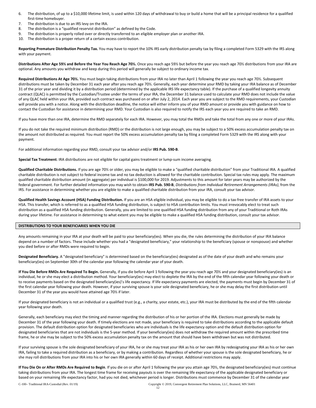- 6. The distribution, of up to a \$10,000 lifetime limit, is used within 120 days of withdrawal to buy or build a home that will be a principal residence for a qualified first-time homebuyer.
- 7. The distribution is due to an IRS levy on the IRA.
- 8. The distribution is a "qualified reservist distribution" as defined by the Code.
- 9. The distribution is properly rolled over or directly transferred to an eligible employer plan or another IRA.
- 10. The distribution is a proper return of a certain excess contribution.

**Reporting Premature Distribution Penalty Tax.** You may have to report the 10% IRS early distribution penalty tax by filing a completed Form 5329 with the IRS along with your payment.

**Distributions After Age 59½ and Before the Year You Reach Age 70½.** Once you reach age 59½ but before the year you reach age 70½ distributions from your IRA are optional. Any amounts you withdraw and keep during this period will generally be subject to ordinary income tax.

**Required Distributions At Age 70½.** You must begin taking distributions from your IRA no later than April 1 following the year you reach age 70½. Subsequent distributions must be taken by December 31 each year after you reach age 70%. Generally, each year determine your RMD by taking your IRA balance as of December 31 of the prior year and dividing it by a distribution period (determined by the applicable IRS life expectancy table). If the purchase of a qualified longevity annuity contract (QLAC) is permitted by the Custodian/Trustee under the terms of your IRA, the December 31 balance used to calculate your RMD does not include the value of any QLAC held within your IRA, provided such contract was purchased on or after July 2, 2014. Each year you are subject to the RMD requirements, your Custodian will provide you with a notice. Along with the distribution deadline, the notice will either inform you of your RMD amount or provide you with guidance on how to contact the Custodian for assistance in determining your RMD. Your Custodian is also required to notify the IRS each year you are required to take an RMD.

If you have more than one IRA, determine the RMD separately for each IRA. However, you may total the RMDs and take the total from any one or more of your IRAs.

If you do not take the required minimum distribution (RMD) or the distribution is not large enough, you may be subject to a 50% excess accumulation penalty tax on the amount not distributed as required. You must report the 50% excess accumulation penalty tax by filing a completed Form 5329 with the IRS along with your payment.

For additional information regarding your RMD, consult your tax advisor and/or **IRS Pub. 590-B**.

**Special Tax Treatment**. IRA distributions are not eligible for capital gains treatment or lump-sum income averaging.

Qualified Charitable Distributions. If you are age 70% or older, you may be eligible to make a "qualified charitable distribution" from your Traditional IRA. A qualified charitable distribution is not subject to federal income tax and no tax deduction is allowed for the charitable contribution. Special tax rules may apply. The maximum qualified charitable distribution amount (in aggregate) per individual is \$100,000 for 2019. Adjustments to this amount for later years may be authorized by the federal government. For further detailed information you may wish to obtain **IRS Pub. 590-B**, *Distributions from Individual Retirement Arrangements (IRAs)*, from the IRS. For assistance in determining whether you are eligible to make a qualified charitable distribution from your IRA, consult your tax advisor.

Qualified Health Savings Account (HSA) Funding Distribution. If you are an HSA eligible individual, you may be eligible to do a tax-free transfer of IRA assets to your HSA. This transfer, which is referred to as a qualified HSA funding distribution, is subject to HSA contribution limits. You must irrevocably elect to treat such distribution as a qualified HSA funding distribution. Generally, you are limited to one qualified HSA funding distribution from any of your Traditional or Roth IRAs during your lifetime. For assistance in determining to what extent you may be eligible to make a qualified HSA funding distribution, consult your tax advisor.

# **DISTRIBUTIONS TO YOUR BENEFICIARIES WHEN YOU DIE**

Any amounts remaining in your IRA at your death will be paid to your beneficiary(ies). When you die, the rules determining the distribution of your IRA balance depend on a number of factors. These include whether you had a "designated beneficiary," your relationship to the beneficiary (spouse or nonspouse) and whether you died before or after RMDs were required to begin.

**Designated Beneficiary.** A "designated beneficiary" is determined based on the beneficiary(ies) designated as of the date of your death and who remains your beneficiary(ies) on September 30th of the calendar year following the calendar year of your death.

If You Die Before RMDs Are Required To Begin. Generally, if you die before April 1 following the year you reach age 70% and your designated beneficiary(ies) is an individual, he or she may elect a distribution method. Your beneficiary(ies) may elect to deplete the IRA by the end of the fifth calendar year following your death or to receive payments based on the designated beneficiary(ies)'s life expectancy. If life expectancy payments are elected, the payments must begin by December 31 of the first calendar year following your death. However, if your surviving spouse is your sole designated beneficiary, he or she may delay the first distribution until December 31 of the year you would have attained age 70½ if later.

If your designated beneficiary is not an individual or a qualified trust (e.g., a charity, your estate, etc.), your IRA must be distributed by the end of the fifth calendar year following your death.

Generally, each beneficiary may elect the timing and manner regarding the distribution of his or her portion of the IRA. Elections must generally be made by December 31 of the year following your death. If timely elections are not made, your beneficiary is required to take distributions according to the applicable default provision. The default distribution option for designated beneficiaries who are individuals is the life expectancy option and the default distribution option for designated beneficiaries that are not individuals is the 5-year method. If your beneficiary(ies) does not withdraw the required amount within the prescribed time frame, he or she may be subject to the 50% excess accumulation penalty tax on the amount that should have been withdrawn but was not distributed.

If your surviving spouse is the sole designated beneficiary of your IRA, he or she may treat your IRA as his or her own IRA by redesignating your IRA as his or her own IRA, failing to take a required distribution as a beneficiary, or by making a contribution. Regardless of whether your spouse is the sole designated beneficiary, he or she may roll distributions from your IRA into his or her own IRA generally within 60 days of receipt. Additional restrictions may apply.

**If You Die On or After RMDs Are Required to Begin**. If you die on or after April 1 following the year you attain age 70½, the designated beneficiary(ies) must continue taking distributions from your IRA. The longest time frame for receiving payouts is over the remaining life expectancy of the applicable designated beneficiary or based on your remaining life expectancy factor, had you not died, whichever period is longer. Distributions must commence by December 31 of the calendar year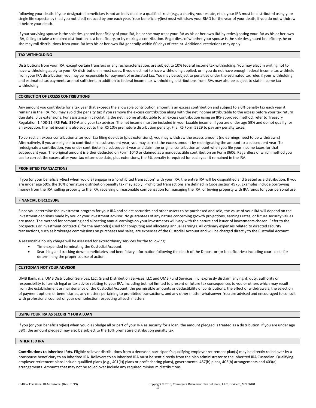following your death. If your designated beneficiary is not an individual or a qualified trust (e.g., a charity, your estate, etc.), your IRA must be distributed using your single life expectancy (had you not died) reduced by one each year. Your beneficiary(ies) must withdraw your RMD for the year of your death, if you do not withdraw it before your death.

If your surviving spouse is the sole designated beneficiary of your IRA, he or she may treat your IRA as his or her own IRA by redesignating your IRA as his or her own IRA, failing to take a required distribution as a beneficiary, or by making a contribution. Regardless of whether your spouse is the sole designated beneficiary, he or she may roll distributions from your IRA into his or her own IRA generally within 60 days of receipt. Additional restrictions may apply.

# **TAX WITHHOLDING**

Distributions from your IRA, except certain transfers or any recharacterization, are subject to 10% federal income tax withholding. You may elect in writing not to have withholding apply to your IRA distribution in most cases. If you elect not to have withholding applied, or if you do not have enough federal income tax withheld from your IRA distribution, you may be responsible for payment of estimated tax. You may be subject to penalties under the estimated tax rules if your withholding and estimated tax payments are not sufficient. In addition to federal income tax withholding, distributions from IRAs may also be subject to state income tax withholding.

### **CORRECTION OF EXCESS CONTRIBUTIONS**

Any amount you contribute for a tax year that exceeds the allowable contribution amount is an excess contribution and subject to a 6% penalty tax each year it remains in the IRA. You may avoid the penalty tax if you remove the excess contribution along with the net income attributable to the excess before your tax return due date, plus extensions. For assistance in calculating the net income attributable to an excess contribution using an IRS-approved method, refer to Treasury Regulation 1.408-11, **IRS Pub. 590-A** and your tax advisor. The net income must be included in your taxable income. If you are under age 59½ and do not qualify for an exception, the net income is also subject to the IRS 10% premature distribution penalty. File IRS Form 5329 to pay any penalty taxes.

To correct an excess contribution after your tax filing due date (plus extensions), you may withdraw the excess amount (no earnings need to be withdrawn.) Alternatively, if you are eligible to contribute in a subsequent year, you may correct the excess amount by redesignating the amount to a subsequent year. To redesignate a contribution, you under contribute in a subsequent year and claim the original contribution amount when you file your income taxes for that subsequent year. The original amount is either deducted on Form 1040 or claimed as a nondeductible contribution on Form 8606. Regardless of which method you use to correct the excess after your tax return due date, plus extensions, the 6% penalty is required for each year it remained in the IRA.

#### **PROHIBITED TRANSACTIONS**

If you (or your beneficiary(ies) when you die) engage in a "prohibited transaction" with your IRA, the entire IRA will be disqualified and treated as a distribution. If you are under age 59%, the 10% premature distribution penalty tax may apply. Prohibited transactions are defined in Code section 4975. Examples include borrowing money from the IRA, selling property to the IRA, receiving unreasonable compensation for managing the IRA, or buying property with IRA funds for your personal use.

#### **FINANCIAL DISCLOSURE**

Since you determine the investment program for your IRA and select securities and other assets to be purchased and sold, the value of your IRA will depend on the investment decisions made by you or your investment advisor. No guarantees of any nature concerning growth projections, earnings rates, or future security values are made. The method for computing and allocating annual earnings on your investments will vary with the nature and issuer of investments chosen. Refer to the prospectus or investment contract(s) for the method(s) used for computing and allocating annual earnings. All ordinary expenses related to directed security transactions, such as brokerage commissions on purchases and sales, are expenses of the Custodial Account and will be charged directly to the Custodial Account.

A reasonable hourly charge will be assessed for extraordinary services for the following:

- Time expended terminating the Custodial Account.
- Searching and tracking down beneficiaries and beneficiary information following the death of the Depositor (or beneficiaries) including court costs for determining the proper course of action.

#### **CUSTODIAN NOT YOUR ADVISOR**

UMB Bank, n.a, UMB Distribution Services, LLC, Grand Distribution Services, LLC and UMB Fund Services, Inc. expressly disclaim any right, duty, authority or responsibility to furnish legal or tax advice relating to your IRA, including but not limited to present or future tax consequences to you or others which may result from the establishment or maintenance of the Custodial Account, the permissible amounts or deductibility of contributions, the effect of withdrawals, the selection of payment options or beneficiaries, any matters pertaining to prohibited transactions, and any other matter whatsoever. You are advised and encouraged to consult with professional counsel of your own selection respecting all such matters.

# **USING YOUR IRA AS SECURITY FOR A LOAN**

If you (or your beneficiary(ies) when you die) pledge all or part of your IRA as security for a loan, the amount pledged is treated as a distribution. If you are under age 59½, the amount pledged may also be subject to the 10% premature distribution penalty tax.

# **INHERITED IRA**

Contributions to Inherited IRAs. Eligible rollover distributions from a deceased participant's qualifying employer retirement plan(s) may be directly rolled over by a nonspouse beneficiary to an Inherited IRA. Rollovers to an Inherited IRA must be sent directly from the plan administrator to the Inherited IRA Custodian. Qualifying employer retirement plans include qualified plans (e.g., 401(k)) plans or profit sharing plans), governmental 457(b) plans, 403(b) arrangements and 403(a) arrangements. Amounts that may not be rolled over include any required minimum distributions.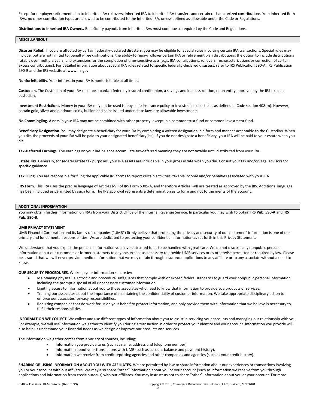Except for employer retirement plan to Inherited IRA rollovers, Inherited IRA to Inherited IRA transfers and certain recharacterized contributions from Inherited Roth IRAs, no other contribution types are allowed to be contributed to the Inherited IRA, unless defined as allowable under the Code or Regulations.

**Distributions to Inherited IRA Owners.** Beneficiary payouts from Inherited IRAs must continue as required by the Code and Regulations.

# **MISCELLANEOUS**

**Disaster Relief.** If you are affected by certain federally-declared disasters, you may be eligible for special rules involving certain IRA transactions. Special rules may include, but are not limited to, penalty-free distributions, the ability to repay/rollover certain IRA or retirement plan distributions, the option to include distributions ratably over multiple years, and extensions for the completion of time-sensitive acts (e.g., IRA contributions, rollovers, recharacterizations or correction of certain excess contributions). For detailed information about special IRA rules related to specific federally-declared disasters, refer to IRS Publication 590-A, IRS Publication 590-B and the IRS website at www.irs.gov.

**Nonforfeitability.** Your interest in your IRA is nonforfeitable at all times.

**Custodian.** The Custodian of your IRA must be a bank, a federally insured credit union, a savings and loan association, or an entity approved by the IRS to act as custodian.

**Investment Restrictions.** Money in your IRA may not be used to buy a life insurance policy or invested in collectibles as defined in Code section 408(m). However, certain gold, silver and platinum coins, bullion and coins issued under state laws are allowable investments.

**No Commingling.** Assets in your IRA may not be combined with other property, except in a common trust fund or common investment fund.

**Beneficiary Designation.** You may designate a beneficiary for your IRA by completing a written designation in a form and manner acceptable to the Custodian. When you die, the proceeds of your IRA will be paid to your designated beneficiary(ies). If you do not designate a beneficiary, your IRA will be paid to your estate when you die.

**Tax-Deferred Earnings.** The earnings on your IRA balance accumulate tax-deferred meaning they are not taxable until distributed from your IRA.

**Estate Tax.** Generally, for federal estate tax purposes, your IRA assets are includable in your gross estate when you die. Consult your tax and/or legal advisors for specific guidance.

**Tax Filing.** You are responsible for filing the applicable IRS forms to report certain activities, taxable income and/or penalties associated with your IRA.

**IRS Form.** This IRA uses the precise language of Articles I-VII of IRS Form 5305-A, and therefore Articles I-VII are treated as approved by the IRS. Additional language has been included as permitted by such form. The IRS approval represents a determination as to form and not to the merits of the account.

# **ADDITIONAL INFORMATION**

You may obtain further information on IRAs from your District Office of the Internal Revenue Service. In particular you may wish to obtain **IRS Pub. 590-A** and **IRS Pub. 590-B**.

# **UMB PRIVACY STATEMENT**

UMB Financial Corporation and its family of companies ("UMB") firmly believe that protecting the privacy and security of our customers' information is one of our primary and fundamental responsibilities. We are dedicated to protecting your confidential information as set forth in this Privacy Statement.

We understand that you expect the personal information you have entrusted to us to be handled with great care. We do not disclose any nonpublic personal information about our customers or former customers to anyone, except as necessary to provide UMB services or as otherwise permitted or required by law. Please be assured that we will never provide medical information that we may obtain through insurance applications to any affiliate or to any associate without a need to know.

**OUR SECURITY PROCEDURES**. We keep your information secure by:

- Maintaining physical, electronic and procedural safeguards that comply with or exceed federal standards to guard your nonpublic personal information, including the prompt disposal of all unnecessary customer information.
- Limiting access to information about you to those associates who need to know that information to provide you products or services.
- Training our associates about the importance of maintaining the confidentiality of customer information. We take appropriate disciplinary action to enforce our associates' privacy responsibilities.
- Requiring companies that do work for us on your behalf to protect information, and only provide them with information that we believe is necessary to fulfill their responsibilities.

**INFORMATION WE COLLECT**. We collect and use different types of information about you to assist in servicing your accounts and managing our relationship with you. For example, we will use information we gather to identify you during a transaction in order to protect your identity and your account. Information you provide will also help us understand your financial needs as we design or improve our products and services.

The information we gather comes from a variety of sources, including:

- Information you provide to us (such as name, address and telephone number).
- Information about your transactions with UMB (such as account balance and payment history).
- Information we receive from credit reporting agencies and other companies and agencies (such as your credit history).

**SHARING OR USING INFORMATION ABOUT YOU WITH AFFILIATES.** We are permitted by law to share information about our experiences or transactions involving you or your account with our affiliates. We may also share "other" information about you or your account (such as information we receive from you through applications and information from credit bureaus) with our affiliates. You may instruct us not to share "other" information about you or your account. For more